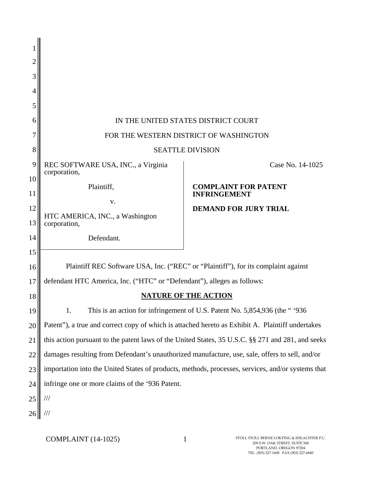| 2  |                                                                                                   |                                                    |  |
|----|---------------------------------------------------------------------------------------------------|----------------------------------------------------|--|
| 3  |                                                                                                   |                                                    |  |
| 4  |                                                                                                   |                                                    |  |
| 5  |                                                                                                   |                                                    |  |
| 6  | IN THE UNITED STATES DISTRICT COURT                                                               |                                                    |  |
| 7  | FOR THE WESTERN DISTRICT OF WASHINGTON                                                            |                                                    |  |
| 8  | <b>SEATTLE DIVISION</b>                                                                           |                                                    |  |
| 9  | REC SOFTWARE USA, INC., a Virginia                                                                | Case No. 14-1025                                   |  |
| 10 | corporation,                                                                                      |                                                    |  |
| 11 | Plaintiff,                                                                                        | <b>COMPLAINT FOR PATENT</b><br><b>INFRINGEMENT</b> |  |
| 12 | V.                                                                                                | <b>DEMAND FOR JURY TRIAL</b>                       |  |
| 13 | HTC AMERICA, INC., a Washington<br>corporation,                                                   |                                                    |  |
| 14 | Defendant.                                                                                        |                                                    |  |
| 15 |                                                                                                   |                                                    |  |
| 16 | Plaintiff REC Software USA, Inc. ("REC" or "Plaintiff"), for its complaint against                |                                                    |  |
| 17 | defendant HTC America, Inc. ("HTC" or "Defendant"), alleges as follows:                           |                                                    |  |
| 18 |                                                                                                   | NATURE OF THE ACTION                               |  |
| 19 | This is an action for infringement of U.S. Patent No. 5,854,936 (the "1936")                      |                                                    |  |
| 20 | Patent"), a true and correct copy of which is attached hereto as Exhibit A. Plaintiff undertakes  |                                                    |  |
| 21 | this action pursuant to the patent laws of the United States, 35 U.S.C. §§ 271 and 281, and seeks |                                                    |  |
| 22 | damages resulting from Defendant's unauthorized manufacture, use, sale, offers to sell, and/or    |                                                    |  |
| 23 | importation into the United States of products, methods, processes, services, and/or systems that |                                                    |  |
| 24 | infringe one or more claims of the '936 Patent.                                                   |                                                    |  |
| 25 | $\frac{1}{1}$                                                                                     |                                                    |  |
|    | $\frac{1}{1}$                                                                                     |                                                    |  |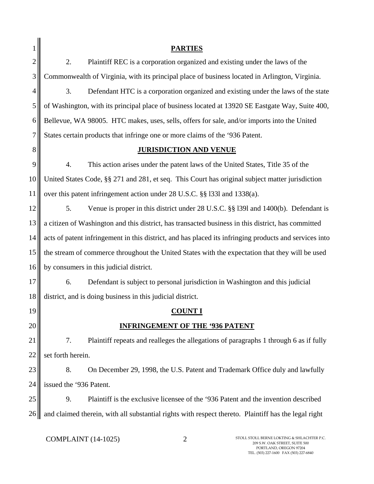|                | <b>PARTIES</b>                                                                                         |  |  |
|----------------|--------------------------------------------------------------------------------------------------------|--|--|
| $\overline{c}$ | 2.<br>Plaintiff REC is a corporation organized and existing under the laws of the                      |  |  |
| 3              | Commonwealth of Virginia, with its principal place of business located in Arlington, Virginia.         |  |  |
| 4              | 3.<br>Defendant HTC is a corporation organized and existing under the laws of the state                |  |  |
| 5              | of Washington, with its principal place of business located at 13920 SE Eastgate Way, Suite 400,       |  |  |
| 6              | Bellevue, WA 98005. HTC makes, uses, sells, offers for sale, and/or imports into the United            |  |  |
| 7              | States certain products that infringe one or more claims of the '936 Patent.                           |  |  |
| 8              | <b>JURISDICTION AND VENUE</b>                                                                          |  |  |
| 9              | 4.<br>This action arises under the patent laws of the United States, Title 35 of the                   |  |  |
| 10             | United States Code, §§ 271 and 281, et seq. This Court has original subject matter jurisdiction        |  |  |
| 11             | over this patent infringement action under 28 U.S.C. §§ 1331 and 1338(a).                              |  |  |
| 12             | 5.<br>Venue is proper in this district under 28 U.S.C. §§ 1391 and 1400(b). Defendant is               |  |  |
| 13             | a citizen of Washington and this district, has transacted business in this district, has committed     |  |  |
| 14             | acts of patent infringement in this district, and has placed its infringing products and services into |  |  |
| 15             | the stream of commerce throughout the United States with the expectation that they will be used        |  |  |
| 16             | by consumers in this judicial district.                                                                |  |  |
| 17             | 6.<br>Defendant is subject to personal jurisdiction in Washington and this judicial                    |  |  |
| 18             | district, and is doing business in this judicial district.                                             |  |  |
| 19             | <u>COUNT I</u>                                                                                         |  |  |
| 20             | <b>INFRINGEMENT OF THE '936 PATENT</b>                                                                 |  |  |
| 21             | 7.<br>Plaintiff repeats and realleges the allegations of paragraphs 1 through 6 as if fully            |  |  |
| 22             | set forth herein.                                                                                      |  |  |
| 23             | 8.<br>On December 29, 1998, the U.S. Patent and Trademark Office duly and lawfully                     |  |  |
| 24             | issued the '936 Patent.                                                                                |  |  |
| 25             | Plaintiff is the exclusive licensee of the '936 Patent and the invention described<br>9.               |  |  |
| 26             | and claimed therein, with all substantial rights with respect thereto. Plaintiff has the legal right   |  |  |

COMPLAINT (14-1025) 2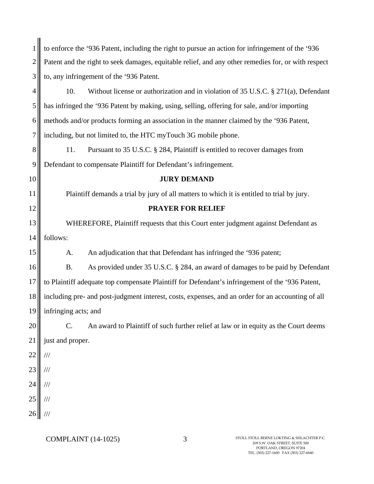|                | to enforce the '936 Patent, including the right to pursue an action for infringement of the '936    |  |  |
|----------------|-----------------------------------------------------------------------------------------------------|--|--|
| $\overline{2}$ | Patent and the right to seek damages, equitable relief, and any other remedies for, or with respect |  |  |
| 3              | to, any infringement of the '936 Patent.                                                            |  |  |
| 4              | 10.<br>Without license or authorization and in violation of 35 U.S.C. $\S 271(a)$ , Defendant       |  |  |
| 5              | has infringed the '936 Patent by making, using, selling, offering for sale, and/or importing        |  |  |
| 6              | methods and/or products forming an association in the manner claimed by the '936 Patent,            |  |  |
| 7              | including, but not limited to, the HTC myTouch 3G mobile phone.                                     |  |  |
| 8              | 11.<br>Pursuant to 35 U.S.C. § 284, Plaintiff is entitled to recover damages from                   |  |  |
| 9              | Defendant to compensate Plaintiff for Defendant's infringement.                                     |  |  |
| 10             | <b>JURY DEMAND</b>                                                                                  |  |  |
| 11             | Plaintiff demands a trial by jury of all matters to which it is entitled to trial by jury.          |  |  |
| 12             | <b>PRAYER FOR RELIEF</b>                                                                            |  |  |
| 13             | WHEREFORE, Plaintiff requests that this Court enter judgment against Defendant as                   |  |  |
| 14             | follows:                                                                                            |  |  |
| 15             | An adjudication that that Defendant has infringed the '936 patent;<br>A.                            |  |  |
| 16             | As provided under 35 U.S.C. § 284, an award of damages to be paid by Defendant<br><b>B.</b>         |  |  |
| 17             | to Plaintiff adequate top compensate Plaintiff for Defendant's infringement of the '936 Patent,     |  |  |
| 18             | including pre- and post-judgment interest, costs, expenses, and an order for an accounting of all   |  |  |
| 19             | infringing acts; and                                                                                |  |  |
| 20             | C.<br>An award to Plaintiff of such further relief at law or in equity as the Court deems           |  |  |
| 21             | just and proper.                                                                                    |  |  |
| $22\,$         | $/\!/ \!/$                                                                                          |  |  |
| 23             | $/\!/ \!/$                                                                                          |  |  |
| 24             | $/\!/ \!/$                                                                                          |  |  |
| $25\,$         | $/\!/ \!/$                                                                                          |  |  |
| 26             | $/\!/ \!/$                                                                                          |  |  |